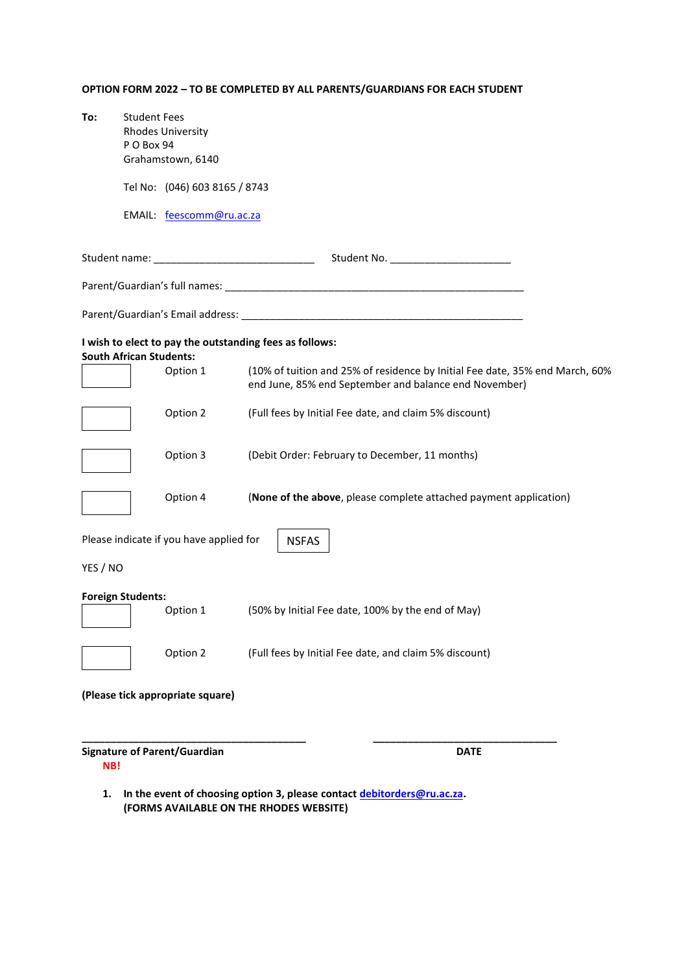## **OPTION FORM 2022 – TO BE COMPLETED BY ALL PARENTS/GUARDIANS FOR EACH STUDENT**

| To:      | <b>Student Fees</b>            |                                         |                                                                                                                                       |
|----------|--------------------------------|-----------------------------------------|---------------------------------------------------------------------------------------------------------------------------------------|
|          | PO Box 94                      | <b>Rhodes University</b>                |                                                                                                                                       |
|          |                                | Grahamstown, 6140                       |                                                                                                                                       |
|          |                                | Tel No: (046) 603 8165 / 8743           |                                                                                                                                       |
|          |                                | EMAIL: feescomm@ru.ac.za                |                                                                                                                                       |
|          |                                |                                         | Student name: ___________________________________                                                                                     |
|          |                                |                                         |                                                                                                                                       |
|          |                                |                                         |                                                                                                                                       |
|          | <b>South African Students:</b> |                                         | I wish to elect to pay the outstanding fees as follows:                                                                               |
|          |                                | Option 1                                | (10% of tuition and 25% of residence by Initial Fee date, 35% end March, 60%<br>end June, 85% end September and balance end November) |
|          |                                | Option 2                                | (Full fees by Initial Fee date, and claim 5% discount)                                                                                |
|          |                                | Option 3                                | (Debit Order: February to December, 11 months)                                                                                        |
|          |                                | Option 4                                | (None of the above, please complete attached payment application)                                                                     |
|          |                                | Please indicate if you have applied for | <b>NSFAS</b>                                                                                                                          |
| YES / NO |                                |                                         |                                                                                                                                       |
|          | <b>Foreign Students:</b>       | Option 1                                | (50% by Initial Fee date, 100% by the end of May)                                                                                     |
|          |                                | Option 2                                | (Full fees by Initial Fee date, and claim 5% discount)                                                                                |
|          |                                | (Please tick appropriate square)        |                                                                                                                                       |
|          | NB!                            | <b>Signature of Parent/Guardian</b>     | <b>DATE</b>                                                                                                                           |
| 1.       |                                |                                         | In the event of choosing option 3, please contact debitorders@ru.ac.za.                                                               |

**(FORMS AVAILABLE ON THE RHODES WEBSITE)**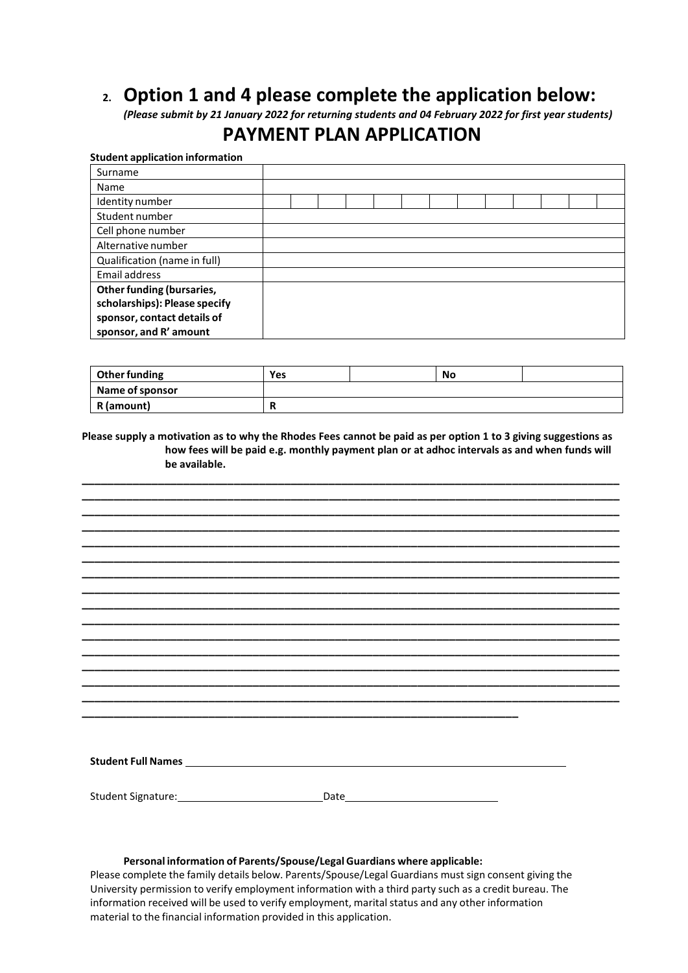# **2. Option 1 and 4 please complete the application below:**

*(Please submit by 21 January 2022 for returning students and 04 February 2022 for first year students)*

## **PAYMENT PLAN APPLICATION**

## **Student application information** Surname Name Identity number Student number Cell phone number Alternative number Qualification (name in full) Email address **Other funding (bursaries, scholarships): Please specify sponsor, contact details of sponsor, and R' amount**

| Other funding   | Yes | No |  |
|-----------------|-----|----|--|
| Name of sponsor |     |    |  |
| R (amount)      |     |    |  |

**Please supply a motivation as to why the Rhodes Fees cannot be paid as per option 1 to 3 giving suggestions as how fees will be paid e.g. monthly payment plan or at adhoc intervals as and when funds will be available.**

**\_\_\_\_\_\_\_\_\_\_\_\_\_\_\_\_\_\_\_\_\_\_\_\_\_\_\_\_\_\_\_\_\_\_\_\_\_\_\_\_\_\_\_\_\_\_\_\_\_\_\_\_\_\_\_\_\_\_\_\_\_\_\_\_\_\_\_\_\_\_\_\_\_\_\_\_\_\_\_\_\_\_\_\_\_ \_\_\_\_\_\_\_\_\_\_\_\_\_\_\_\_\_\_\_\_\_\_\_\_\_\_\_\_\_\_\_\_\_\_\_\_\_\_\_\_\_\_\_\_\_\_\_\_\_\_\_\_\_\_\_\_\_\_\_\_\_\_\_\_\_\_\_\_\_\_\_\_\_\_\_\_\_\_\_\_\_\_\_\_\_ \_\_\_\_\_\_\_\_\_\_\_\_\_\_\_\_\_\_\_\_\_\_\_\_\_\_\_\_\_\_\_\_\_\_\_\_\_\_\_\_\_\_\_\_\_\_\_\_\_\_\_\_\_\_\_\_\_\_\_\_\_\_\_\_\_\_\_\_\_\_\_\_\_\_\_\_\_\_\_\_\_\_\_\_\_ \_\_\_\_\_\_\_\_\_\_\_\_\_\_\_\_\_\_\_\_\_\_\_\_\_\_\_\_\_\_\_\_\_\_\_\_\_\_\_\_\_\_\_\_\_\_\_\_\_\_\_\_\_\_\_\_\_\_\_\_\_\_\_\_\_\_\_\_\_\_\_\_\_\_\_\_\_\_\_\_\_\_\_\_\_ \_\_\_\_\_\_\_\_\_\_\_\_\_\_\_\_\_\_\_\_\_\_\_\_\_\_\_\_\_\_\_\_\_\_\_\_\_\_\_\_\_\_\_\_\_\_\_\_\_\_\_\_\_\_\_\_\_\_\_\_\_\_\_\_\_\_\_\_\_\_\_\_\_\_\_\_\_\_\_\_\_\_\_\_\_ \_\_\_\_\_\_\_\_\_\_\_\_\_\_\_\_\_\_\_\_\_\_\_\_\_\_\_\_\_\_\_\_\_\_\_\_\_\_\_\_\_\_\_\_\_\_\_\_\_\_\_\_\_\_\_\_\_\_\_\_\_\_\_\_\_\_\_\_\_\_\_\_\_\_\_\_\_\_\_\_\_\_\_\_\_ \_\_\_\_\_\_\_\_\_\_\_\_\_\_\_\_\_\_\_\_\_\_\_\_\_\_\_\_\_\_\_\_\_\_\_\_\_\_\_\_\_\_\_\_\_\_\_\_\_\_\_\_\_\_\_\_\_\_\_\_\_\_\_\_\_\_\_\_\_\_\_\_\_\_\_\_\_\_\_\_\_\_\_\_\_ \_\_\_\_\_\_\_\_\_\_\_\_\_\_\_\_\_\_\_\_\_\_\_\_\_\_\_\_\_\_\_\_\_\_\_\_\_\_\_\_\_\_\_\_\_\_\_\_\_\_\_\_\_\_\_\_\_\_\_\_\_\_\_\_\_\_\_\_\_\_\_\_\_\_\_\_\_\_\_\_\_\_\_\_\_ \_\_\_\_\_\_\_\_\_\_\_\_\_\_\_\_\_\_\_\_\_\_\_\_\_\_\_\_\_\_\_\_\_\_\_\_\_\_\_\_\_\_\_\_\_\_\_\_\_\_\_\_\_\_\_\_\_\_\_\_\_\_\_\_\_\_\_\_\_\_\_\_\_\_\_\_\_\_\_\_\_\_\_\_\_ \_\_\_\_\_\_\_\_\_\_\_\_\_\_\_\_\_\_\_\_\_\_\_\_\_\_\_\_\_\_\_\_\_\_\_\_\_\_\_\_\_\_\_\_\_\_\_\_\_\_\_\_\_\_\_\_\_\_\_\_\_\_\_\_\_\_\_\_\_\_\_\_\_\_\_\_\_\_\_\_\_\_\_\_\_ \_\_\_\_\_\_\_\_\_\_\_\_\_\_\_\_\_\_\_\_\_\_\_\_\_\_\_\_\_\_\_\_\_\_\_\_\_\_\_\_\_\_\_\_\_\_\_\_\_\_\_\_\_\_\_\_\_\_\_\_\_\_\_\_\_\_\_\_\_\_\_\_\_\_\_\_\_\_\_\_\_\_\_\_\_ \_\_\_\_\_\_\_\_\_\_\_\_\_\_\_\_\_\_\_\_\_\_\_\_\_\_\_\_\_\_\_\_\_\_\_\_\_\_\_\_\_\_\_\_\_\_\_\_\_\_\_\_\_\_\_\_\_\_\_\_\_\_\_\_\_\_\_\_\_\_\_\_\_\_\_\_\_\_\_\_\_\_\_\_\_ \_\_\_\_\_\_\_\_\_\_\_\_\_\_\_\_\_\_\_\_\_\_\_\_\_\_\_\_\_\_\_\_\_\_\_\_\_\_\_\_\_\_\_\_\_\_\_\_\_\_\_\_\_\_\_\_\_\_\_\_\_\_\_\_\_\_\_\_\_\_\_\_\_\_\_\_\_\_\_\_\_\_\_\_\_ \_\_\_\_\_\_\_\_\_\_\_\_\_\_\_\_\_\_\_\_\_\_\_\_\_\_\_\_\_\_\_\_\_\_\_\_\_\_\_\_\_\_\_\_\_\_\_\_\_\_\_\_\_\_\_\_\_\_\_\_\_\_\_\_\_\_\_\_\_\_\_\_\_\_\_\_\_\_\_\_\_\_\_\_\_ \_\_\_\_\_\_\_\_\_\_\_\_\_\_\_\_\_\_\_\_\_\_\_\_\_\_\_\_\_\_\_\_\_\_\_\_\_\_\_\_\_\_\_\_\_\_\_\_\_\_\_\_\_\_\_\_\_\_\_\_\_\_\_\_\_\_\_\_\_\_\_\_\_\_\_\_\_\_\_\_\_\_\_\_\_**

| <b>Student Full Names</b> |  |  |  |
|---------------------------|--|--|--|
|                           |  |  |  |
|                           |  |  |  |

Student Signature: Date

**\_\_\_\_\_\_\_\_\_\_\_\_\_\_\_\_\_\_\_\_\_\_\_\_\_\_\_\_\_\_\_\_\_\_\_\_\_\_\_\_\_\_\_\_\_\_\_\_\_\_\_\_\_\_\_\_\_\_\_\_\_\_\_\_\_\_\_\_\_**

#### **Personal information of Parents/Spouse/Legal Guardians where applicable:**

Please complete the family details below. Parents/Spouse/Legal Guardians must sign consent giving the University permission to verify employment information with a third party such as a credit bureau. The information received will be used to verify employment, marital status and any other information material to the financial information provided in this application.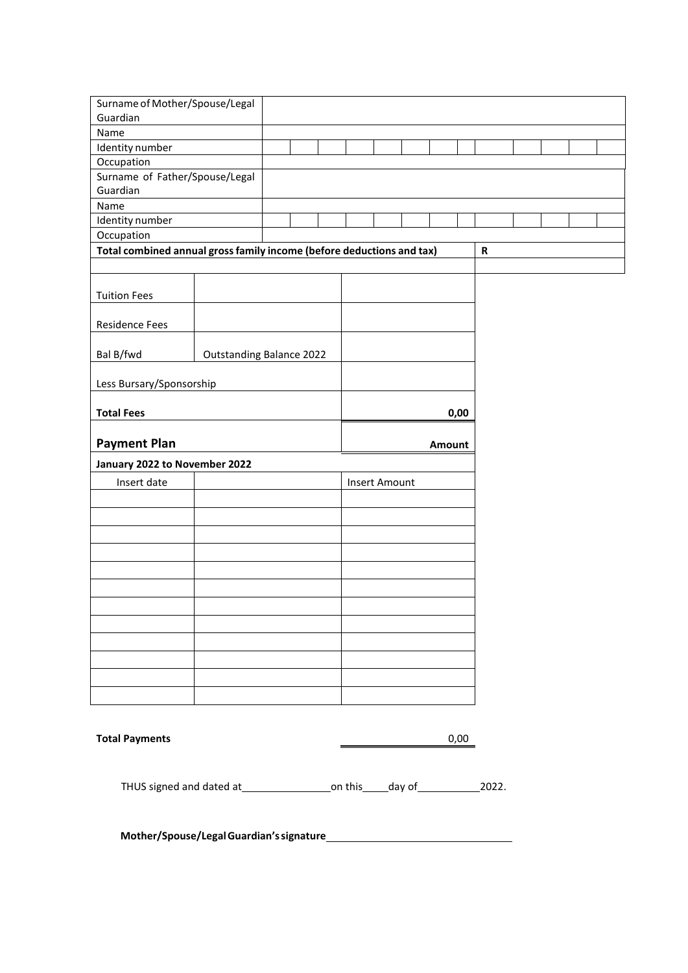| Surname of Mother/Spouse/Legal                                        |                                 |  |  |  |               |        |             |  |  |
|-----------------------------------------------------------------------|---------------------------------|--|--|--|---------------|--------|-------------|--|--|
| Guardian                                                              |                                 |  |  |  |               |        |             |  |  |
| Name                                                                  |                                 |  |  |  |               |        |             |  |  |
| Identity number                                                       |                                 |  |  |  |               |        |             |  |  |
| Occupation                                                            |                                 |  |  |  |               |        |             |  |  |
| Surname of Father/Spouse/Legal                                        |                                 |  |  |  |               |        |             |  |  |
| Guardian                                                              |                                 |  |  |  |               |        |             |  |  |
| Name                                                                  |                                 |  |  |  |               |        |             |  |  |
| Identity number                                                       |                                 |  |  |  |               |        |             |  |  |
| Occupation                                                            |                                 |  |  |  |               |        |             |  |  |
| Total combined annual gross family income (before deductions and tax) |                                 |  |  |  |               |        | $\mathbf R$ |  |  |
|                                                                       |                                 |  |  |  |               |        |             |  |  |
|                                                                       |                                 |  |  |  |               |        |             |  |  |
| <b>Tuition Fees</b>                                                   |                                 |  |  |  |               |        |             |  |  |
|                                                                       |                                 |  |  |  |               |        |             |  |  |
| <b>Residence Fees</b>                                                 |                                 |  |  |  |               |        |             |  |  |
|                                                                       |                                 |  |  |  |               |        |             |  |  |
| Bal B/fwd                                                             | <b>Outstanding Balance 2022</b> |  |  |  |               |        |             |  |  |
|                                                                       |                                 |  |  |  |               |        |             |  |  |
| Less Bursary/Sponsorship                                              |                                 |  |  |  |               |        |             |  |  |
|                                                                       |                                 |  |  |  |               |        |             |  |  |
| <b>Total Fees</b>                                                     |                                 |  |  |  |               |        |             |  |  |
|                                                                       |                                 |  |  |  |               | 0,00   |             |  |  |
|                                                                       |                                 |  |  |  |               |        |             |  |  |
| <b>Payment Plan</b>                                                   |                                 |  |  |  |               |        |             |  |  |
|                                                                       |                                 |  |  |  |               | Amount |             |  |  |
| January 2022 to November 2022                                         |                                 |  |  |  |               |        |             |  |  |
|                                                                       |                                 |  |  |  |               |        |             |  |  |
| Insert date                                                           |                                 |  |  |  | Insert Amount |        |             |  |  |
|                                                                       |                                 |  |  |  |               |        |             |  |  |
|                                                                       |                                 |  |  |  |               |        |             |  |  |
|                                                                       |                                 |  |  |  |               |        |             |  |  |
|                                                                       |                                 |  |  |  |               |        |             |  |  |
|                                                                       |                                 |  |  |  |               |        |             |  |  |
|                                                                       |                                 |  |  |  |               |        |             |  |  |
|                                                                       |                                 |  |  |  |               |        |             |  |  |
|                                                                       |                                 |  |  |  |               |        |             |  |  |
|                                                                       |                                 |  |  |  |               |        |             |  |  |
|                                                                       |                                 |  |  |  |               |        |             |  |  |
|                                                                       |                                 |  |  |  |               |        |             |  |  |
|                                                                       |                                 |  |  |  |               |        |             |  |  |
|                                                                       |                                 |  |  |  |               |        |             |  |  |
|                                                                       |                                 |  |  |  |               |        |             |  |  |
|                                                                       |                                 |  |  |  |               |        |             |  |  |
|                                                                       |                                 |  |  |  |               |        |             |  |  |
|                                                                       |                                 |  |  |  |               |        |             |  |  |
| <b>Total Payments</b>                                                 |                                 |  |  |  |               | 0,00   |             |  |  |
|                                                                       |                                 |  |  |  |               |        |             |  |  |
|                                                                       |                                 |  |  |  |               |        |             |  |  |

**Mother/Spouse/LegalGuardian'ssignature**